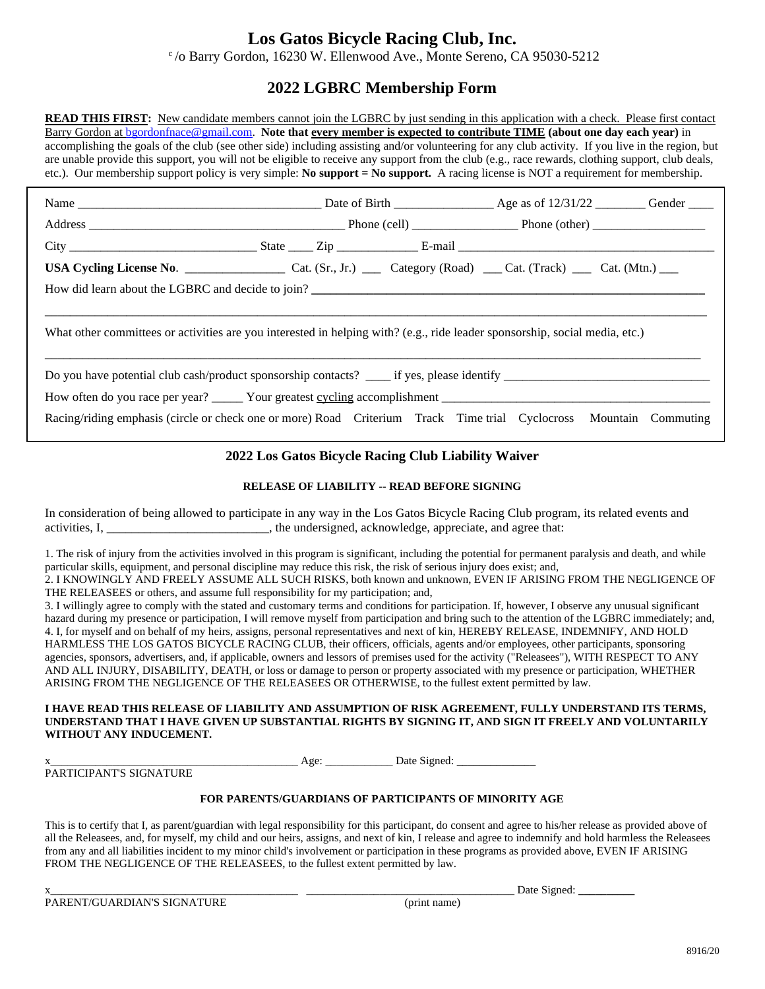# **Los Gatos Bicycle Racing Club, Inc.**

 $c$  /o Barry Gordon, 16230 W. Ellenwood Ave., Monte Sereno, CA 95030-5212

## **2022 LGBRC Membership Form**

**READ THIS FIRST:** New candidate members cannot join the LGBRC by just sending in this application with a check. Please first contact Barry Gordon at bgordonfnace@gmail.com. **Note that every member is expected to contribute TIME (about one day each year)** in accomplishing the goals of the club (see other side) including assisting and/or volunteering for any club activity. If you live in the region, but are unable provide this support, you will not be eligible to receive any support from the club (e.g., race rewards, clothing support, club deals, etc.). Our membership support policy is very simple: **No support = No support.** A racing license is NOT a requirement for membership.

| What other committees or activities are you interested in helping with? (e.g., ride leader sponsorship, social media, etc.) |  |  |  |  |  |
|-----------------------------------------------------------------------------------------------------------------------------|--|--|--|--|--|
|                                                                                                                             |  |  |  |  |  |
| Racing/riding emphasis (circle or check one or more) Road Criterium Track Time trial Cyclocross Mountain Commuting          |  |  |  |  |  |

## **2022 Los Gatos Bicycle Racing Club Liability Waiver**

## **RELEASE OF LIABILITY -- READ BEFORE SIGNING**

In consideration of being allowed to participate in any way in the Los Gatos Bicycle Racing Club program, its related events and activities, I, \_\_\_\_\_\_\_\_\_\_\_\_\_\_\_\_\_\_\_\_\_\_\_\_\_\_, the undersigned, acknowledge, appreciate, and agree that:

1. The risk of injury from the activities involved in this program is significant, including the potential for permanent paralysis and death, and while particular skills, equipment, and personal discipline may reduce this risk, the risk of serious injury does exist; and, 2. I KNOWINGLY AND FREELY ASSUME ALL SUCH RISKS, both known and unknown, EVEN IF ARISING FROM THE NEGLIGENCE OF THE RELEASEES or others, and assume full responsibility for my participation; and,

3. I willingly agree to comply with the stated and customary terms and conditions for participation. If, however, I observe any unusual significant hazard during my presence or participation, I will remove myself from participation and bring such to the attention of the LGBRC immediately; and, 4. I, for myself and on behalf of my heirs, assigns, personal representatives and next of kin, HEREBY RELEASE, INDEMNIFY, AND HOLD HARMLESS THE LOS GATOS BICYCLE RACING CLUB, their officers, officials, agents and/or employees, other participants, sponsoring agencies, sponsors, advertisers, and, if applicable, owners and lessors of premises used for the activity ("Releasees"), WITH RESPECT TO ANY AND ALL INJURY, DISABILITY, DEATH, or loss or damage to person or property associated with my presence or participation, WHETHER ARISING FROM THE NEGLIGENCE OF THE RELEASEES OR OTHERWISE, to the fullest extent permitted by law.

#### **I HAVE READ THIS RELEASE OF LIABILITY AND ASSUMPTION OF RISK AGREEMENT, FULLY UNDERSTAND ITS TERMS, UNDERSTAND THAT I HAVE GIVEN UP SUBSTANTIAL RIGHTS BY SIGNING IT, AND SIGN IT FREELY AND VOLUNTARILY WITHOUT ANY INDUCEMENT.**

PARTICIPANT'S SIGNATURE

x\_\_\_\_\_\_\_\_\_\_\_\_\_\_\_\_\_\_\_\_\_\_\_\_\_\_\_\_\_\_\_\_\_\_\_\_\_\_\_\_\_\_\_\_ Age: \_\_\_\_\_\_\_\_\_\_\_\_ Date Signed: **\_\_\_\_\_\_\_\_\_\_\_\_\_\_**

### **FOR PARENTS/GUARDIANS OF PARTICIPANTS OF MINORITY AGE**

This is to certify that I, as parent/guardian with legal responsibility for this participant, do consent and agree to his/her release as provided above of all the Releasees, and, for myself, my child and our heirs, assigns, and next of kin, I release and agree to indemnify and hold harmless the Releasees from any and all liabilities incident to my minor child's involvement or participation in these programs as provided above, EVEN IF ARISING FROM THE NEGLIGENCE OF THE RELEASEES, to the fullest extent permitted by law.

PARENT/GUARDIAN'S SIGNATURE (print name)

Date Signed: